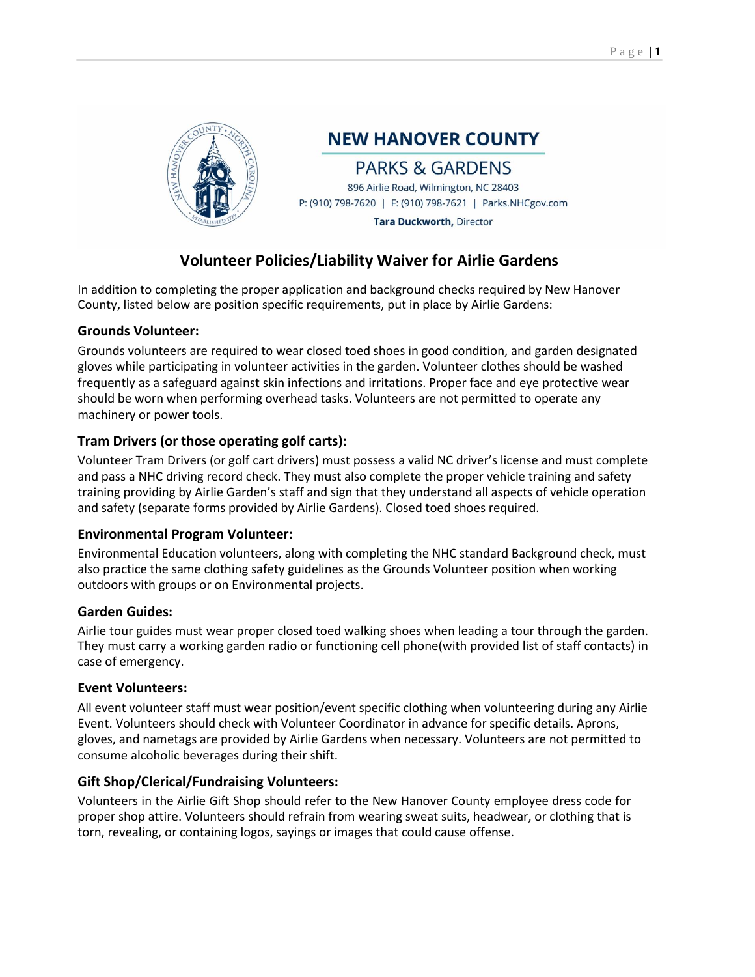

**NEW HANOVER COUNTY** 

## **PARKS & GARDENS**

896 Airlie Road, Wilmington, NC 28403 P: (910) 798-7620 | F: (910) 798-7621 | Parks.NHCgov.com

**Tara Duckworth, Director** 

# **Volunteer Policies/Liability Waiver for Airlie Gardens**

In addition to completing the proper application and background checks required by New Hanover County, listed below are position specific requirements, put in place by Airlie Gardens:

### **Grounds Volunteer:**

Grounds volunteers are required to wear closed toed shoes in good condition, and garden designated gloves while participating in volunteer activities in the garden. Volunteer clothes should be washed frequently as a safeguard against skin infections and irritations. Proper face and eye protective wear should be worn when performing overhead tasks. Volunteers are not permitted to operate any machinery or power tools.

### **Tram Drivers (or those operating golf carts):**

Volunteer Tram Drivers (or golf cart drivers) must possess a valid NC driver's license and must complete and pass a NHC driving record check. They must also complete the proper vehicle training and safety training providing by Airlie Garden's staff and sign that they understand all aspects of vehicle operation and safety (separate forms provided by Airlie Gardens). Closed toed shoes required.

### **Environmental Program Volunteer:**

Environmental Education volunteers, along with completing the NHC standard Background check, must also practice the same clothing safety guidelines as the Grounds Volunteer position when working outdoors with groups or on Environmental projects.

### **Garden Guides:**

Airlie tour guides must wear proper closed toed walking shoes when leading a tour through the garden. They must carry a working garden radio or functioning cell phone(with provided list of staff contacts) in case of emergency.

### **Event Volunteers:**

All event volunteer staff must wear position/event specific clothing when volunteering during any Airlie Event. Volunteers should check with Volunteer Coordinator in advance for specific details. Aprons, gloves, and nametags are provided by Airlie Gardens when necessary. Volunteers are not permitted to consume alcoholic beverages during their shift.

### **Gift Shop/Clerical/Fundraising Volunteers:**

Volunteers in the Airlie Gift Shop should refer to the New Hanover County employee dress code for proper shop attire. Volunteers should refrain from wearing sweat suits, headwear, or clothing that is torn, revealing, or containing logos, sayings or images that could cause offense.